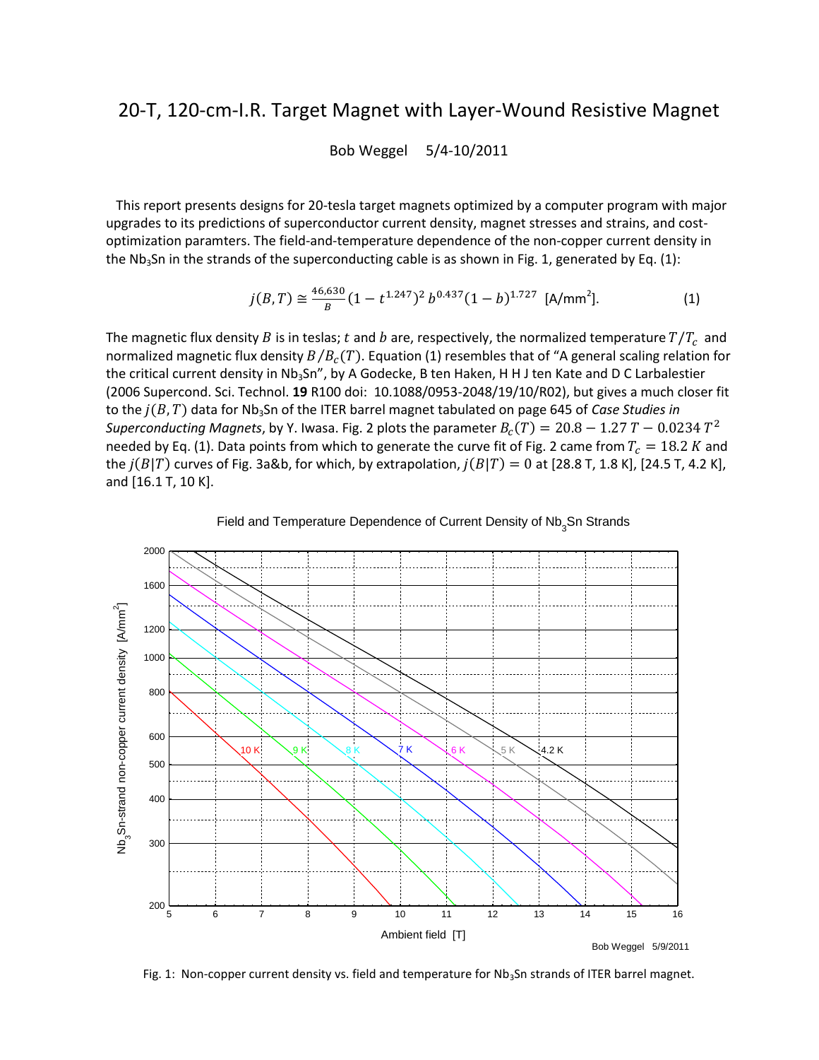## 20-T, 120-cm-I.R. Target Magnet with Layer-Wound Resistive Magnet

Bob Weggel 5/4-10/2011

 This report presents designs for 20-tesla target magnets optimized by a computer program with major upgrades to its predictions of superconductor current density, magnet stresses and strains, and costoptimization paramters. The field-and-temperature dependence of the non-copper current density in the Nb<sub>3</sub>Sn in the strands of the superconducting cable is as shown in Fig. 1, generated by Eq. (1):

$$
j(B,T) \cong \frac{46,630}{B} (1 - t^{1.247})^2 b^{0.437} (1 - b)^{1.727} \text{ [A/mm}^2]. \tag{1}
$$

The magnetic flux density B is in teslas; t and b are, respectively, the normalized temperature  $T/T_c$  and normalized magnetic flux density  $B/B<sub>c</sub>(T)$ . Equation (1) resembles that of "A general scaling relation for the critical current density in Nb<sub>3</sub>Sn", by A Godecke, B ten Haken, H H J ten Kate and D C Larbalestier (2006 Supercond. Sci. Technol. **19** R100 doi: 10.1088/0953-2048/19/10/R02), but gives a much closer fit to the  $j(B,T)$  data for Nb<sub>3</sub>Sn of the ITER barrel magnet tabulated on page 645 of *Case Studies in Superconducting Magnets*, by Y. Iwasa. Fig. 2 plots the parameter  $B_c(T) = 20.8 - 1.27 T - 0.0234 T^2$ needed by Eq. (1). Data points from which to generate the curve fit of Fig. 2 came from  $T_c = 18.2 K$  and the  $j(B|T)$  curves of Fig. 3a&b, for which, by extrapolation,  $j(B|T) = 0$  at [28.8 T, 1.8 K], [24.5 T, 4.2 K], and [16.1 T, 10 K].





Fig. 1: Non-copper current density vs. field and temperature for  $Nb<sub>3</sub>Sn$  strands of ITER barrel magnet.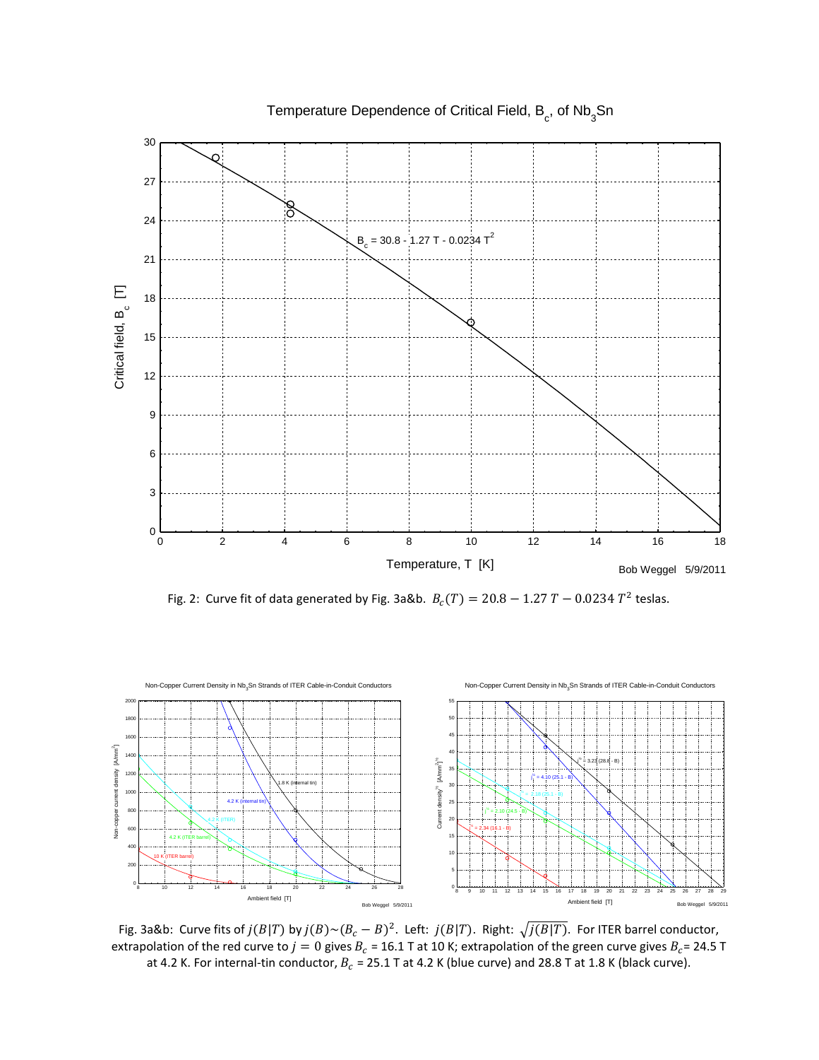

Temperature Dependence of Critical Field,  $\mathsf{B}_{\rm c}^{\phantom{\dag}},$  of Nb $_{\rm 3}^{\phantom{\dag}}$ Sn

Fig. 2: Curve fit of data generated by Fig. 3a&b.  $B_c(T) = 20.8 - 1.27 T - 0.0234 T^2$  teslas.



Fig. 3a&b: Curve fits of  $j(B|T)$  by  $j(B) {\sim} (B_c - B)^2$ . Left:  $j(B|T)$ . Right:  $\sqrt{j(B|T)}$ . For ITER barrel conductor, extrapolation of the red curve to  $j=0$  gives  $B_c = 16.1$  T at 10 K; extrapolation of the green curve gives  $B_c = 24.5$  T at 4.2 K. For internal-tin conductor,  $B_c = 25.1$  T at 4.2 K (blue curve) and 28.8 T at 1.8 K (black curve).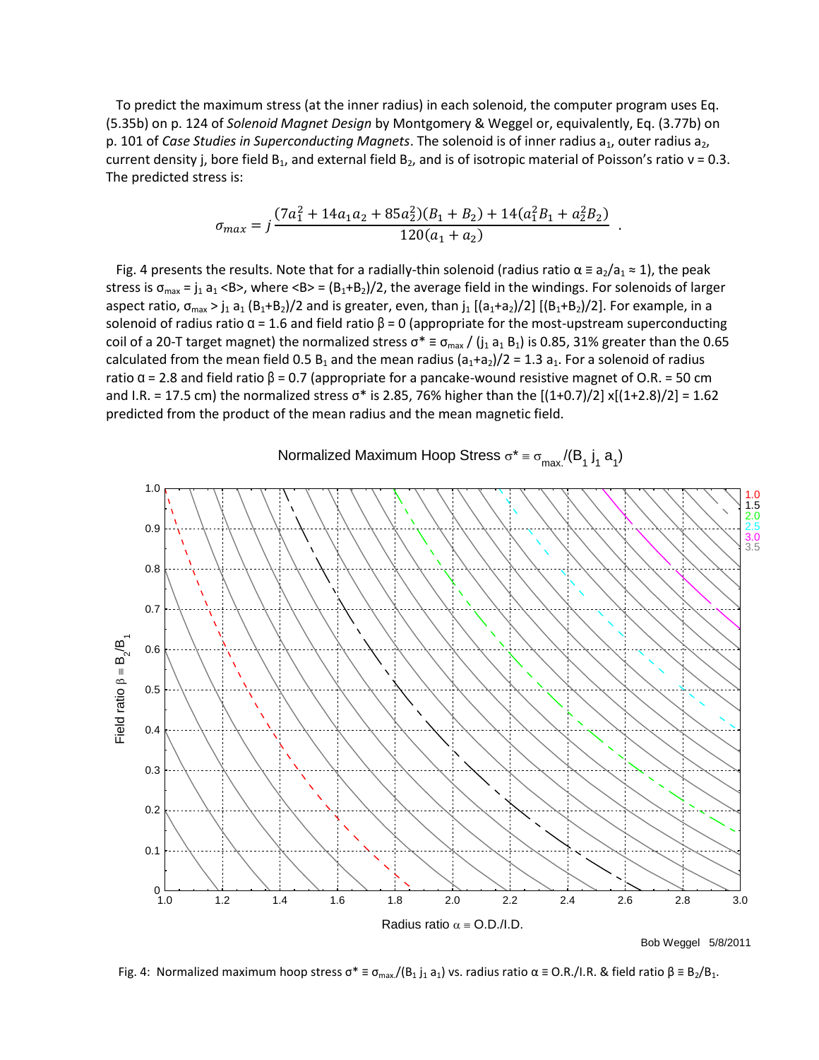To predict the maximum stress (at the inner radius) in each solenoid, the computer program uses Eq. (5.35b) on p. 124 of *Solenoid Magnet Design* by Montgomery & Weggel or, equivalently, Eq. (3.77b) on p. 101 of *Case Studies in Superconducting Magnets*. The solenoid is of inner radius a<sub>1</sub>, outer radius a<sub>2</sub>, current density j, bore field  $B_1$ , and external field  $B_2$ , and is of isotropic material of Poisson's ratio  $v = 0.3$ . The predicted stress is:

$$
\sigma_{max} = j \frac{(7a_1^2 + 14a_1a_2 + 85a_2^2)(B_1 + B_2) + 14(a_1^2B_1 + a_2^2B_2)}{120(a_1 + a_2)}
$$

.

Fig. 4 presents the results. Note that for a radially-thin solenoid (radius ratio  $\alpha \equiv a_2/a_1 \approx 1$ ), the peak stress is  $\sigma_{\text{max}} = j_1 a_1 < B$ , where  $\langle B_2 + B_2 \rangle/2$ , the average field in the windings. For solenoids of larger aspect ratio,  $\sigma_{max} > j_1 a_1 (B_1+B_2)/2$  and is greater, even, than  $j_1 [(a_1+a_2)/2] [(B_1+B_2)/2]$ . For example, in a solenoid of radius ratio  $\alpha$  = 1.6 and field ratio  $\beta$  = 0 (appropriate for the most-upstream superconducting coil of a 20-T target magnet) the normalized stress  $\sigma^* \equiv \sigma_{max}/(j_1 a_1 B_1)$  is 0.85, 31% greater than the 0.65 calculated from the mean field 0.5  $B_1$  and the mean radius ( $a_1+a_2$ )/2 = 1.3  $a_1$ . For a solenoid of radius ratio  $α = 2.8$  and field ratio  $β = 0.7$  (appropriate for a pancake-wound resistive magnet of O.R. = 50 cm and I.R. = 17.5 cm) the normalized stress  $\sigma^*$  is 2.85, 76% higher than the  $[(1+0.7)/2]$  x[ $(1+2.8)/2]$  = 1.62 predicted from the product of the mean radius and the mean magnetic field.



Normalized Maximum Hoop Stress  $\sigma^* = \sigma_{\textsf{max}} / (\mathsf{B}_1 \, \mathsf{j}_1 \, \mathsf{a}_1)$ 

Fig. 4: Normalized maximum hoop stress  $\sigma^* \equiv \sigma_{\text{max}}/(B_1 j_1 a_1)$  vs. radius ratio  $\alpha \equiv O.R./I.R.$  & field ratio  $\beta \equiv B_2/B_1$ .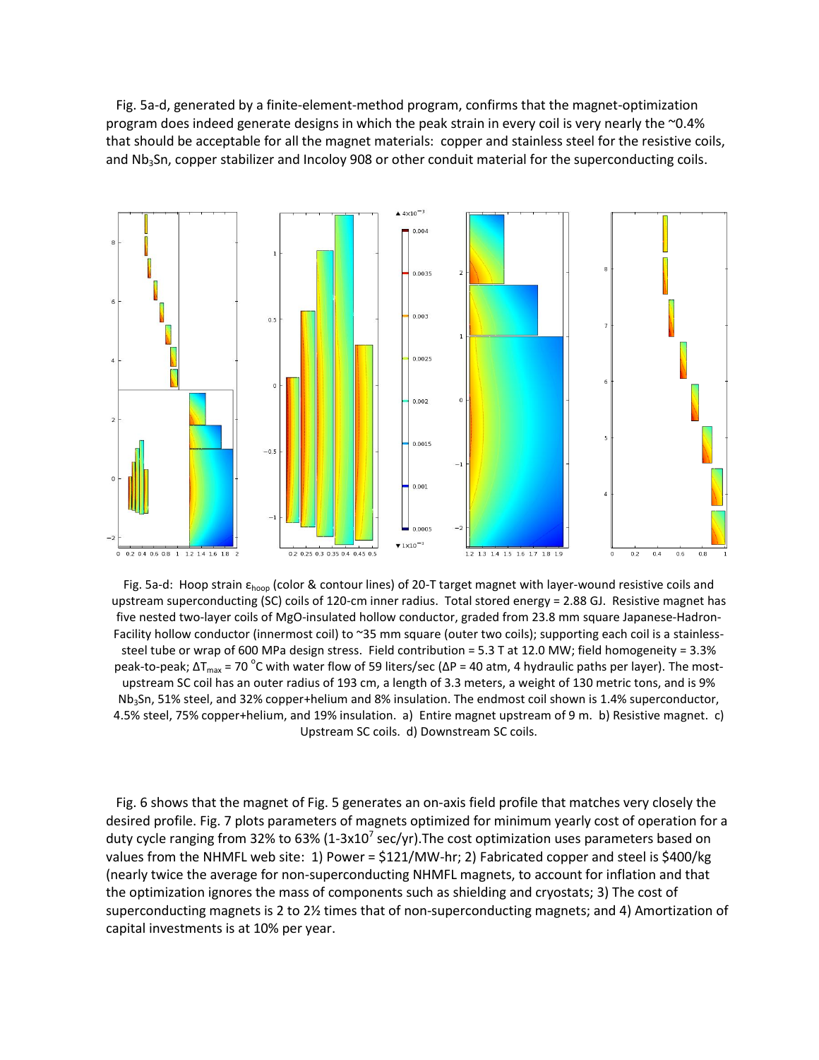Fig. 5a-d, generated by a finite-element-method program, confirms that the magnet-optimization program does indeed generate designs in which the peak strain in every coil is very nearly the ~0.4% that should be acceptable for all the magnet materials: copper and stainless steel for the resistive coils, and Nb<sub>3</sub>Sn, copper stabilizer and Incoloy 908 or other conduit material for the superconducting coils.



Fig. 5a-d: Hoop strain εhoop (color & contour lines) of 20-T target magnet with layer-wound resistive coils and upstream superconducting (SC) coils of 120-cm inner radius. Total stored energy = 2.88 GJ. Resistive magnet has five nested two-layer coils of MgO-insulated hollow conductor, graded from 23.8 mm square Japanese-Hadron-Facility hollow conductor (innermost coil) to ~35 mm square (outer two coils); supporting each coil is a stainlesssteel tube or wrap of 600 MPa design stress. Field contribution = 5.3 T at 12.0 MW; field homogeneity = 3.3% peak-to-peak; ΔT<sub>max</sub> = 70 <sup>o</sup>C with water flow of 59 liters/sec (ΔP = 40 atm, 4 hydraulic paths per layer). The mostupstream SC coil has an outer radius of 193 cm, a length of 3.3 meters, a weight of 130 metric tons, and is 9% Nb<sub>3</sub>Sn, 51% steel, and 32% copper+helium and 8% insulation. The endmost coil shown is 1.4% superconductor, 4.5% steel, 75% copper+helium, and 19% insulation. a) Entire magnet upstream of 9 m. b) Resistive magnet. c) Upstream SC coils. d) Downstream SC coils.

 Fig. 6 shows that the magnet of Fig. 5 generates an on-axis field profile that matches very closely the desired profile. Fig. 7 plots parameters of magnets optimized for minimum yearly cost of operation for a duty cycle ranging from 32% to 63% (1-3x10<sup>7</sup> sec/yr). The cost optimization uses parameters based on values from the NHMFL web site: 1) Power = \$121/MW-hr; 2) Fabricated copper and steel is \$400/kg (nearly twice the average for non-superconducting NHMFL magnets, to account for inflation and that the optimization ignores the mass of components such as shielding and cryostats; 3) The cost of superconducting magnets is 2 to 2½ times that of non-superconducting magnets; and 4) Amortization of capital investments is at 10% per year.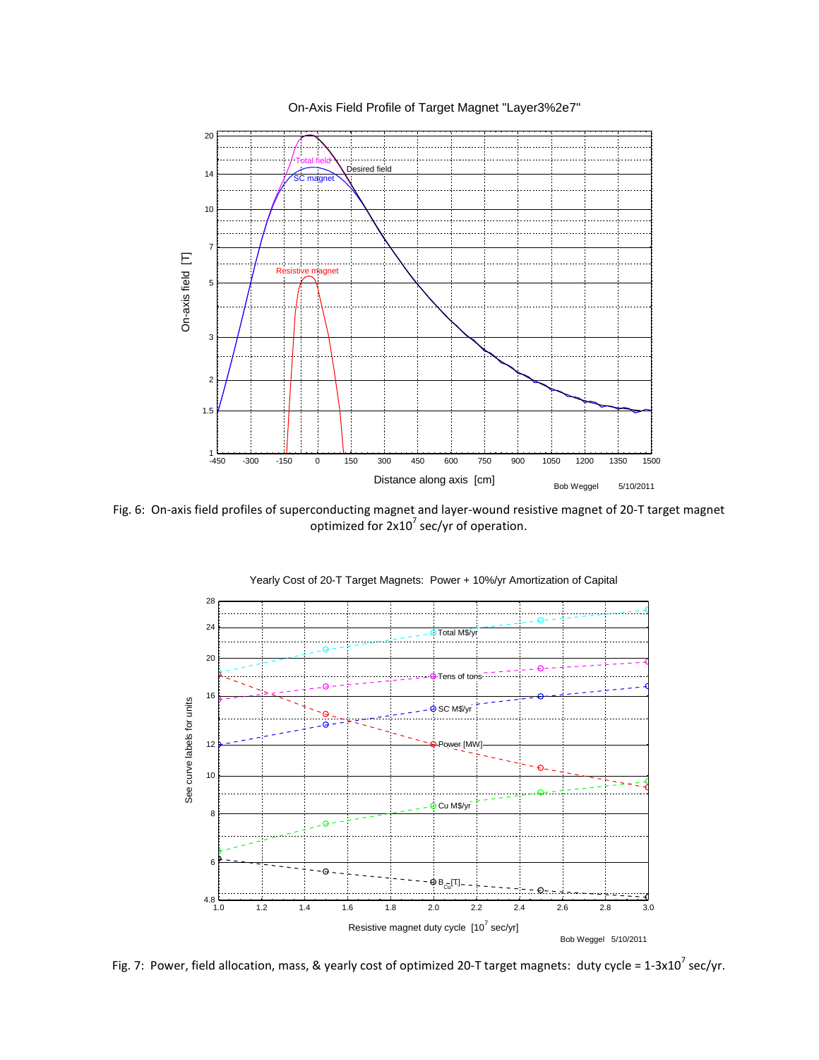

Fig. 6: On-axis field profiles of superconducting magnet and layer-wound resistive magnet of 20-T target magnet optimized for  $2x10^7$  sec/yr of operation.



Yearly Cost of 20-T Target Magnets: Power + 10%/yr Amortization of Capital

Fig. 7: Power, field allocation, mass, & yearly cost of optimized 20-T target magnets: duty cycle = 1-3x10<sup>7</sup> sec/yr.

On-Axis Field Profile of Target Magnet "Layer3%2e7"